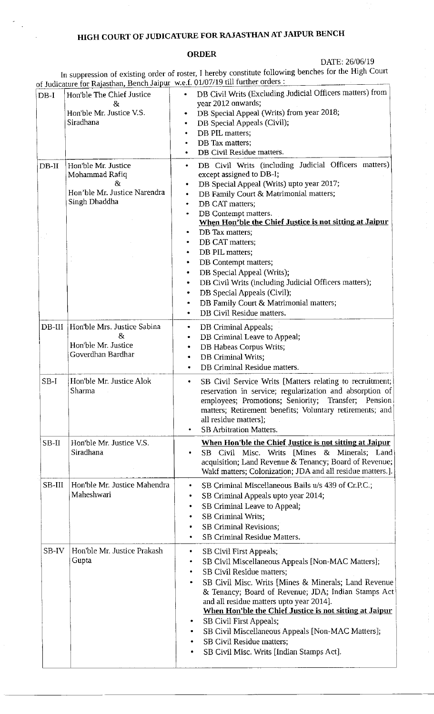# HIGH COURT OF JUDICATURE FOR RAJASTHAN AT JAIPUR BENCH

## ORDER

DATE: 26/06/19

In suppression of existing order of roster, I hereby constitute following benches for the High court of Judicature for Rajasthan, Bench Jaipur w.e.f. 01/07/19 till further orders :

|                   | 01 Judicature for Rajastrian <u>, Denen surpur</u>                                                               | 11.211.212.212.121                                                                                                                                                                                                                                                                                                                                                                                                                                                                                  |
|-------------------|------------------------------------------------------------------------------------------------------------------|-----------------------------------------------------------------------------------------------------------------------------------------------------------------------------------------------------------------------------------------------------------------------------------------------------------------------------------------------------------------------------------------------------------------------------------------------------------------------------------------------------|
| $DB-I$<br>$DB-II$ | Hon'ble The Chief Justice<br>&<br>Hon'ble Mr. Justice V.S.<br>Siradhana<br>Hon'ble Mr. Justice<br>Mohammad Rafiq | DB Civil Writs (Excluding Judicial Officers matters) from<br>$\bullet$<br>year 2012 onwards;<br>DB Special Appeal (Writs) from year 2018;<br>DB Special Appeals (Civil);<br>DB PIL matters;<br>٠<br>DB Tax matters;<br>DB Civil Residue matters.<br>DB Civil Writs (including Judicial Officers matters)<br>٠<br>except assigned to DB-I;                                                                                                                                                           |
|                   | Χr<br>Hon'ble Mr. Justice Narendra<br>Singh Dhaddha                                                              | DB Special Appeal (Writs) upto year 2017;<br>٠<br>DB Family Court & Matrimonial matters;<br>$\bullet$<br>DB CAT matters;<br>٠<br>DB Contempt matters.<br>۰<br>When Hon'ble the Chief Justice is not sitting at Jaipur<br>DB Tax matters;<br>٠                                                                                                                                                                                                                                                       |
|                   |                                                                                                                  | DB CAT matters;<br>٠<br>DB PIL matters;<br>٠<br>DB Contempt matters;<br>٠<br>DB Special Appeal (Writs);<br>٠<br>DB Civil Writs (including Judicial Officers matters);<br>٠<br>DB Special Appeals (Civil);<br>٠<br>DB Family Court & Matrimonial matters;<br>DB Civil Residue matters.                                                                                                                                                                                                               |
| $DB-III$          | Hon'ble Mrs. Justice Sabina<br>8z<br>Hon'ble Mr. Justice<br>Goverdhan Bardhar                                    | DB Criminal Appeals;<br>٠<br>DB Criminal Leave to Appeal;<br>DB Habeas Corpus Writs;<br>DB Criminal Writs;<br>DB Criminal Residue matters.                                                                                                                                                                                                                                                                                                                                                          |
| $SB-I$            | Hon'ble Mr. Justice Alok<br>Sharma                                                                               | SB Civil Service Writs [Matters relating to recruitment;<br>٠<br>reservation in service; regularization and absorption of<br>employees; Promotions; Seniority; Transfer; Pension<br>matters; Retirement benefits; Voluntary retirements; and<br>all residue matters];<br><b>SB Arbitration Matters.</b>                                                                                                                                                                                             |
| SB-II             | Hon'ble Mr. Justice V.S.<br>Siradhana                                                                            | When Hon'ble the Chief Justice is not sitting at Jaipur<br>SB Civil Misc. Writs [Mines & Minerals; Land<br>acquisition; Land Revenue & Tenancy; Board of Revenue;<br>Wakf matters; Colonization; JDA and all residue matters.].                                                                                                                                                                                                                                                                     |
| SB-III            | Hon'ble Mr. Justice Mahendra<br>Maheshwari                                                                       | SB Criminal Miscellaneous Bails u/s 439 of Cr.P.C.;<br>SB Criminal Appeals upto year 2014;<br>SB Criminal Leave to Appeal;<br>SB Criminal Writs;<br>SB Criminal Revisions;<br>SB Criminal Residue Matters.                                                                                                                                                                                                                                                                                          |
| SB-IV             | Hon'ble Mr. Justice Prakash<br>Gupta                                                                             | SB Civil First Appeals;<br>٠<br>SB Civil Miscellaneous Appeals [Non-MAC Matters];<br>SB Civil Residue matters;<br>SB Civil Misc. Writs [Mines & Minerals; Land Revenue<br>& Tenancy; Board of Revenue; JDA; Indian Stamps Act<br>and all residue matters upto year 2014].<br>When Hon'ble the Chief Justice is not sitting at Jaipur<br>SB Civil First Appeals;<br>SB Civil Miscellaneous Appeals [Non-MAC Matters];<br>SB Civil Residue matters;<br>SB Civil Misc. Writs [Indian Stamps Act].<br>٠ |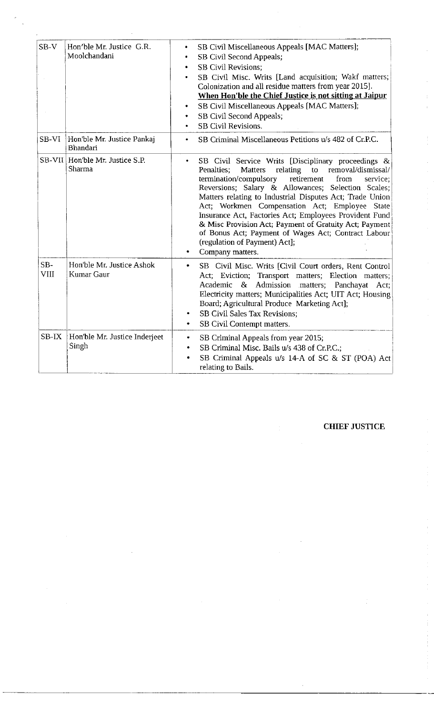| $SB-V$               | Hon'ble Mr. Justice G.R.<br>Moolchandani       | SB Civil Miscellaneous Appeals [MAC Matters];<br>۰<br>SB Civil Second Appeals;<br>$\bullet$<br><b>SB Civil Revisions:</b><br>SB Civil Misc. Writs [Land acquisition; Wakf matters;<br>Colonization and all residue matters from year 2015].<br>When Hon'ble the Chief Justice is not sitting at Jaipur<br>SB Civil Miscellaneous Appeals [MAC Matters];<br>SB Civil Second Appeals;<br><b>SB Civil Revisions.</b>                                                                                                                                                                              |
|----------------------|------------------------------------------------|------------------------------------------------------------------------------------------------------------------------------------------------------------------------------------------------------------------------------------------------------------------------------------------------------------------------------------------------------------------------------------------------------------------------------------------------------------------------------------------------------------------------------------------------------------------------------------------------|
| SB-VI                | Hon'ble Mr. Justice Pankaj<br><b>Bhandari</b>  | SB Criminal Miscellaneous Petitions u/s 482 of Cr.P.C.<br>٠                                                                                                                                                                                                                                                                                                                                                                                                                                                                                                                                    |
|                      | SB-VII Hon'ble Mr. Justice S.P.<br>Sharma      | SB Civil Service Writs [Disciplinary proceedings &<br>۰<br>relating<br><b>Matters</b><br>to<br>removal/dismissal/<br>Penalties;<br>termination/compulsory<br>retirement<br>from<br>service:<br>Reversions; Salary & Allowances; Selection Scales;<br>Matters relating to Industrial Disputes Act; Trade Union<br>Act; Workmen Compensation Act; Employee State<br>Insurance Act, Factories Act; Employees Provident Fund<br>& Misc Provision Act; Payment of Gratuity Act; Payment<br>of Bonus Act; Payment of Wages Act; Contract Labour<br>(regulation of Payment) Act];<br>Company matters. |
| $SB-$<br><b>VIII</b> | Hon'ble Mr. Justice Ashok<br><b>Kumar Gaur</b> | SB Civil Misc. Writs [Civil Court orders, Rent Control<br>٠<br>Act; Eviction; Transport matters; Election matters;<br>& Admission matters; Panchayat Act;<br>Academic<br>Electricity matters; Municipalities Act; UIT Act; Housing<br>Board; Agricultural Produce Marketing Act];<br><b>SB Civil Sales Tax Revisions;</b><br>٠<br>SB Civil Contempt matters.<br>٠                                                                                                                                                                                                                              |
| SB-IX                | Hon'ble Mr. Justice Inderjeet<br>Singh         | SB Criminal Appeals from year 2015;<br>٠<br>SB Criminal Misc. Bails u/s 438 of Cr.P.C.;<br>$\bullet$<br>SB Criminal Appeals u/s 14-A of SC & ST (POA) Act<br>relating to Bails.                                                                                                                                                                                                                                                                                                                                                                                                                |

## CHIEF JUSTICE